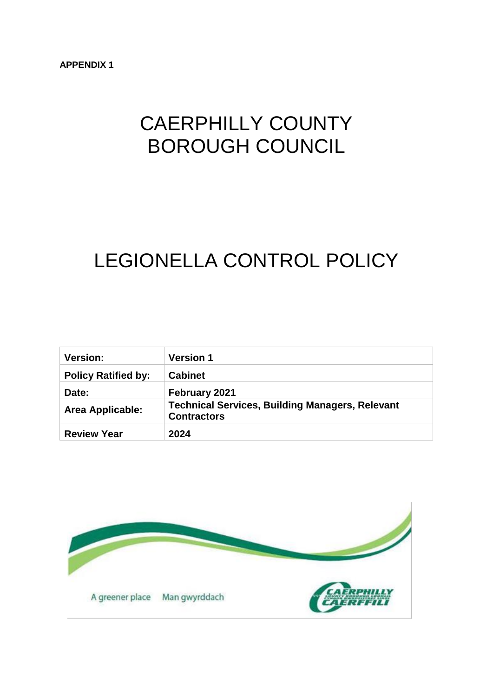## CAERPHILLY COUNTY BOROUGH COUNCIL

# LEGIONELLA CONTROL POLICY

| <b>Version:</b>            | <b>Version 1</b>                                                             |
|----------------------------|------------------------------------------------------------------------------|
| <b>Policy Ratified by:</b> | <b>Cabinet</b>                                                               |
| Date:                      | February 2021                                                                |
| Area Applicable:           | <b>Technical Services, Building Managers, Relevant</b><br><b>Contractors</b> |
| <b>Review Year</b>         | 2024                                                                         |

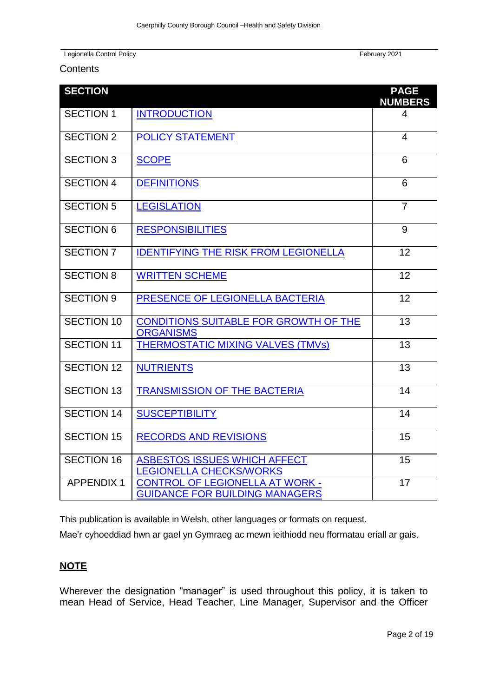$\ddot{\phantom{0}}$ 

## **Contents**

| <b>SECTION</b>    |                                                                                 | <b>PAGE</b><br><b>NUMBERS</b> |
|-------------------|---------------------------------------------------------------------------------|-------------------------------|
| <b>SECTION 1</b>  | <b>INTRODUCTION</b>                                                             | 4                             |
| <b>SECTION 2</b>  | <b>POLICY STATEMENT</b>                                                         | 4                             |
| <b>SECTION 3</b>  | <b>SCOPE</b>                                                                    | 6                             |
| <b>SECTION 4</b>  | <b>DEFINITIONS</b>                                                              | 6                             |
| <b>SECTION 5</b>  | <b>LEGISLATION</b>                                                              | $\overline{7}$                |
| <b>SECTION 6</b>  | <b>RESPONSIBILITIES</b>                                                         | 9                             |
| <b>SECTION 7</b>  | <b>IDENTIFYING THE RISK FROM LEGIONELLA</b>                                     | 12                            |
| <b>SECTION 8</b>  | <b>WRITTEN SCHEME</b>                                                           | 12                            |
| <b>SECTION 9</b>  | PRESENCE OF LEGIONELLA BACTERIA                                                 | 12                            |
| <b>SECTION 10</b> | <b>CONDITIONS SUITABLE FOR GROWTH OF THE</b><br><b>ORGANISMS</b>                | 13                            |
| <b>SECTION 11</b> | <b>THERMOSTATIC MIXING VALVES (TMVs)</b>                                        | 13                            |
| <b>SECTION 12</b> | <b>NUTRIENTS</b>                                                                | 13                            |
| <b>SECTION 13</b> | <b>TRANSMISSION OF THE BACTERIA</b>                                             | 14                            |
| <b>SECTION 14</b> | <b>SUSCEPTIBILITY</b>                                                           | 14                            |
| <b>SECTION 15</b> | <b>RECORDS AND REVISIONS</b>                                                    | 15                            |
| <b>SECTION 16</b> | <b>ASBESTOS ISSUES WHICH AFFECT</b><br><b>LEGIONELLA CHECKS/WORKS</b>           | 15                            |
| <b>APPENDIX 1</b> | <b>CONTROL OF LEGIONELLA AT WORK -</b><br><b>GUIDANCE FOR BUILDING MANAGERS</b> | 17                            |

This publication is available in Welsh, other languages or formats on request.

Mae'r cyhoeddiad hwn ar gael yn Gymraeg ac mewn ieithiodd neu fformatau eriall ar gais.

## **NOTE**

Wherever the designation "manager" is used throughout this policy, it is taken to mean Head of Service, Head Teacher, Line Manager, Supervisor and the Officer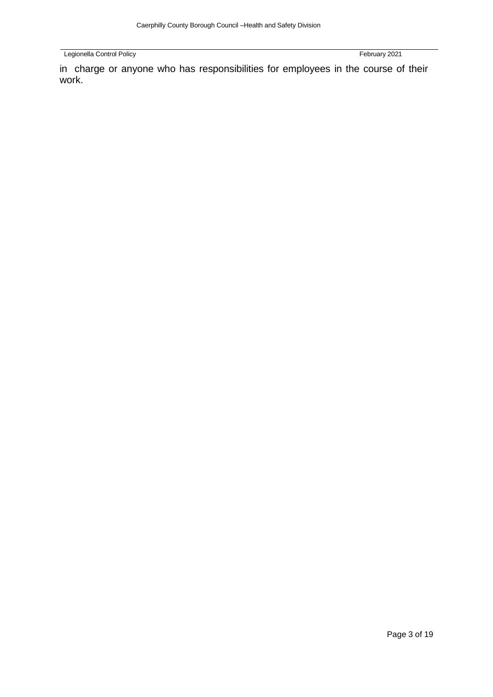$\ddot{\phantom{0}}$ 

in charge or anyone who has responsibilities for employees in the course of their work.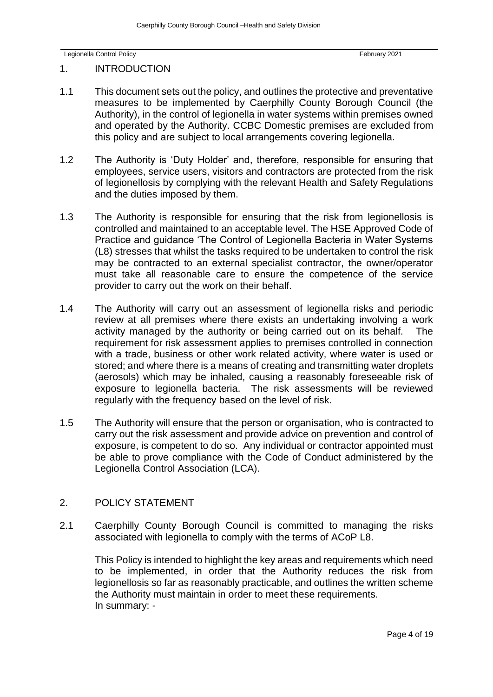$\ddot{\phantom{0}}$ 

## <span id="page-3-0"></span>1. INTRODUCTION

- 1.1 This document sets out the policy, and outlines the protective and preventative measures to be implemented by Caerphilly County Borough Council (the Authority), in the control of legionella in water systems within premises owned and operated by the Authority. CCBC Domestic premises are excluded from this policy and are subject to local arrangements covering legionella.
- 1.2 The Authority is 'Duty Holder' and, therefore, responsible for ensuring that employees, service users, visitors and contractors are protected from the risk of legionellosis by complying with the relevant Health and Safety Regulations and the duties imposed by them.
- 1.3 The Authority is responsible for ensuring that the risk from legionellosis is controlled and maintained to an acceptable level. The HSE Approved Code of Practice and guidance 'The Control of Legionella Bacteria in Water Systems (L8) stresses that whilst the tasks required to be undertaken to control the risk may be contracted to an external specialist contractor, the owner/operator must take all reasonable care to ensure the competence of the service provider to carry out the work on their behalf.
- 1.4 The Authority will carry out an assessment of legionella risks and periodic review at all premises where there exists an undertaking involving a work activity managed by the authority or being carried out on its behalf. The requirement for risk assessment applies to premises controlled in connection with a trade, business or other work related activity, where water is used or stored; and where there is a means of creating and transmitting water droplets (aerosols) which may be inhaled, causing a reasonably foreseeable risk of exposure to legionella bacteria. The risk assessments will be reviewed regularly with the frequency based on the level of risk.
- 1.5 The Authority will ensure that the person or organisation, who is contracted to carry out the risk assessment and provide advice on prevention and control of exposure, is competent to do so. Any individual or contractor appointed must be able to prove compliance with the Code of Conduct administered by the Legionella Control Association (LCA).

## <span id="page-3-1"></span>2. POLICY STATEMENT

2.1 Caerphilly County Borough Council is committed to managing the risks associated with legionella to comply with the terms of ACoP L8.

This Policy is intended to highlight the key areas and requirements which need to be implemented, in order that the Authority reduces the risk from legionellosis so far as reasonably practicable, and outlines the written scheme the Authority must maintain in order to meet these requirements. In summary: -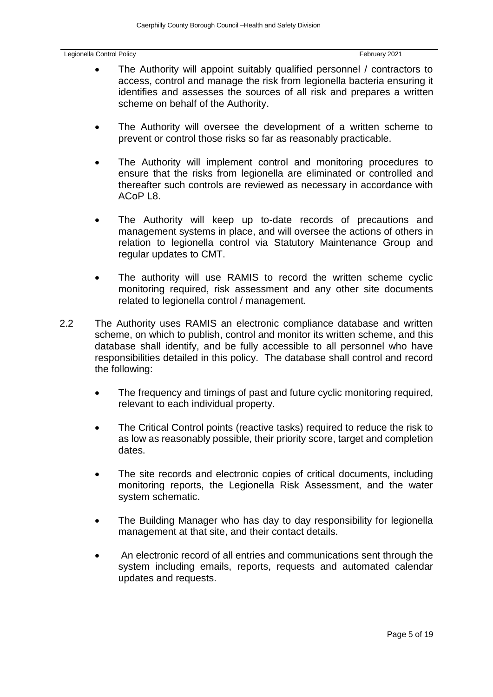$\ddot{\phantom{0}}$ 

- The Authority will appoint suitably qualified personnel / contractors to access, control and manage the risk from legionella bacteria ensuring it identifies and assesses the sources of all risk and prepares a written scheme on behalf of the Authority.
- The Authority will oversee the development of a written scheme to prevent or control those risks so far as reasonably practicable.
- The Authority will implement control and monitoring procedures to ensure that the risks from legionella are eliminated or controlled and thereafter such controls are reviewed as necessary in accordance with ACoP L8.
- The Authority will keep up to-date records of precautions and management systems in place, and will oversee the actions of others in relation to legionella control via Statutory Maintenance Group and regular updates to CMT.
- The authority will use RAMIS to record the written scheme cyclic monitoring required, risk assessment and any other site documents related to legionella control / management.
- 2.2 The Authority uses RAMIS an electronic compliance database and written scheme, on which to publish, control and monitor its written scheme, and this database shall identify, and be fully accessible to all personnel who have responsibilities detailed in this policy. The database shall control and record the following:
	- The frequency and timings of past and future cyclic monitoring required, relevant to each individual property.
	- The Critical Control points (reactive tasks) required to reduce the risk to as low as reasonably possible, their priority score, target and completion dates.
	- The site records and electronic copies of critical documents, including monitoring reports, the Legionella Risk Assessment, and the water system schematic.
	- The Building Manager who has day to day responsibility for legionella management at that site, and their contact details.
	- An electronic record of all entries and communications sent through the system including emails, reports, requests and automated calendar updates and requests.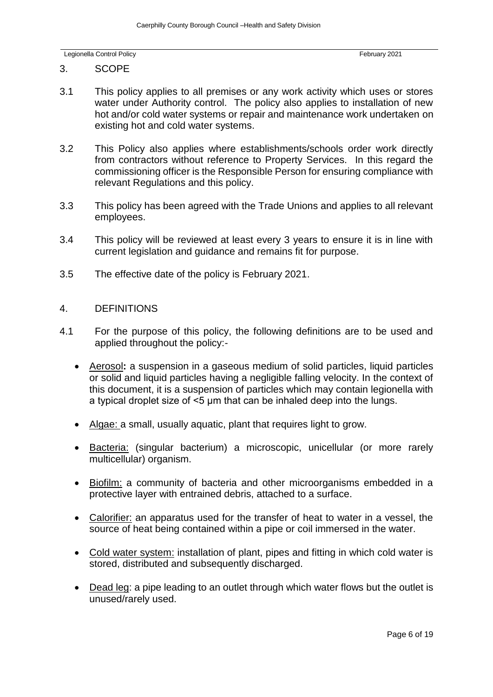$\ddot{\phantom{0}}$ 

### <span id="page-5-0"></span>3. SCOPE

- 3.1 This policy applies to all premises or any work activity which uses or stores water under Authority control. The policy also applies to installation of new hot and/or cold water systems or repair and maintenance work undertaken on existing hot and cold water systems.
- 3.2 This Policy also applies where establishments/schools order work directly from contractors without reference to Property Services. In this regard the commissioning officer is the Responsible Person for ensuring compliance with relevant Regulations and this policy.
- 3.3 This policy has been agreed with the Trade Unions and applies to all relevant employees.
- 3.4 This policy will be reviewed at least every 3 years to ensure it is in line with current legislation and guidance and remains fit for purpose.
- 3.5 The effective date of the policy is February 2021.

### <span id="page-5-1"></span>4. DEFINITIONS

- 4.1 For the purpose of this policy, the following definitions are to be used and applied throughout the policy:-
	- Aerosol**:** a suspension in a gaseous medium of solid particles, liquid particles or solid and liquid particles having a negligible falling velocity. In the context of this document, it is a suspension of particles which may contain legionella with a typical droplet size of <5 μm that can be inhaled deep into the lungs.
	- Algae: a small, usually aquatic, plant that requires light to grow.
	- Bacteria: (singular bacterium) a microscopic, unicellular (or more rarely multicellular) organism.
	- Biofilm: a community of bacteria and other microorganisms embedded in a protective layer with entrained debris, attached to a surface.
	- Calorifier: an apparatus used for the transfer of heat to water in a vessel, the source of heat being contained within a pipe or coil immersed in the water.
	- Cold water system: installation of plant, pipes and fitting in which cold water is stored, distributed and subsequently discharged.
	- Dead leg: a pipe leading to an outlet through which water flows but the outlet is unused/rarely used.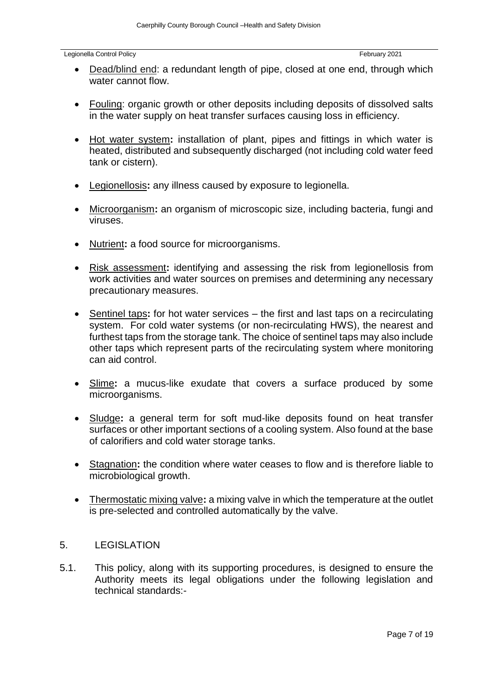$\ddot{\phantom{0}}$ 

- Dead/blind end: a redundant length of pipe, closed at one end, through which water cannot flow.
- Fouling: organic growth or other deposits including deposits of dissolved salts in the water supply on heat transfer surfaces causing loss in efficiency.
- Hot water system**:** installation of plant, pipes and fittings in which water is heated, distributed and subsequently discharged (not including cold water feed tank or cistern).
- Legionellosis**:** any illness caused by exposure to legionella.
- Microorganism**:** an organism of microscopic size, including bacteria, fungi and viruses.
- Nutrient**:** a food source for microorganisms.
- Risk assessment**:** identifying and assessing the risk from legionellosis from work activities and water sources on premises and determining any necessary precautionary measures.
- Sentinel taps**:** for hot water services the first and last taps on a recirculating system. For cold water systems (or non-recirculating HWS), the nearest and furthest taps from the storage tank. The choice of sentinel taps may also include other taps which represent parts of the recirculating system where monitoring can aid control.
- Slime**:** a mucus-like exudate that covers a surface produced by some microorganisms.
- Sludge**:** a general term for soft mud-like deposits found on heat transfer surfaces or other important sections of a cooling system. Also found at the base of calorifiers and cold water storage tanks.
- Stagnation**:** the condition where water ceases to flow and is therefore liable to microbiological growth.
- Thermostatic mixing valve**:** a mixing valve in which the temperature at the outlet is pre-selected and controlled automatically by the valve.

## <span id="page-6-0"></span>5. LEGISLATION

5.1. This policy, along with its supporting procedures, is designed to ensure the Authority meets its legal obligations under the following legislation and technical standards:-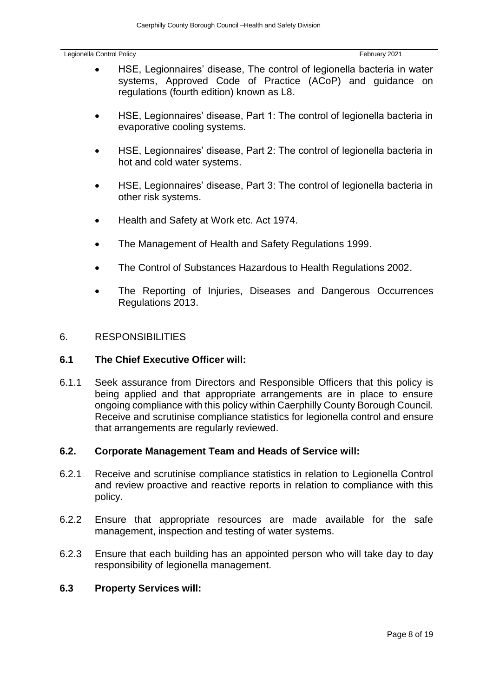$\ddot{\phantom{0}}$ 

- HSE, Legionnaires' disease, The control of legionella bacteria in water systems, Approved Code of Practice (ACoP) and guidance on regulations (fourth edition) known as L8.
- HSE, Legionnaires' disease, Part 1: The control of legionella bacteria in evaporative cooling systems.
- HSE, Legionnaires' disease, Part 2: The control of legionella bacteria in hot and cold water systems.
- HSE, Legionnaires' disease, Part 3: The control of legionella bacteria in other risk systems.
- Health and Safety at Work etc. Act 1974.
- The Management of Health and Safety Regulations 1999.
- The Control of Substances Hazardous to Health Regulations 2002.
- The Reporting of Injuries, Diseases and Dangerous Occurrences Regulations 2013.

## <span id="page-7-0"></span>6. RESPONSIBILITIES

### **6.1 The Chief Executive Officer will:**

6.1.1 Seek assurance from Directors and Responsible Officers that this policy is being applied and that appropriate arrangements are in place to ensure ongoing compliance with this policy within Caerphilly County Borough Council. Receive and scrutinise compliance statistics for legionella control and ensure that arrangements are regularly reviewed.

### **6.2. Corporate Management Team and Heads of Service will:**

- 6.2.1 Receive and scrutinise compliance statistics in relation to Legionella Control and review proactive and reactive reports in relation to compliance with this policy.
- 6.2.2 Ensure that appropriate resources are made available for the safe management, inspection and testing of water systems.
- 6.2.3 Ensure that each building has an appointed person who will take day to day responsibility of legionella management.

### **6.3 Property Services will:**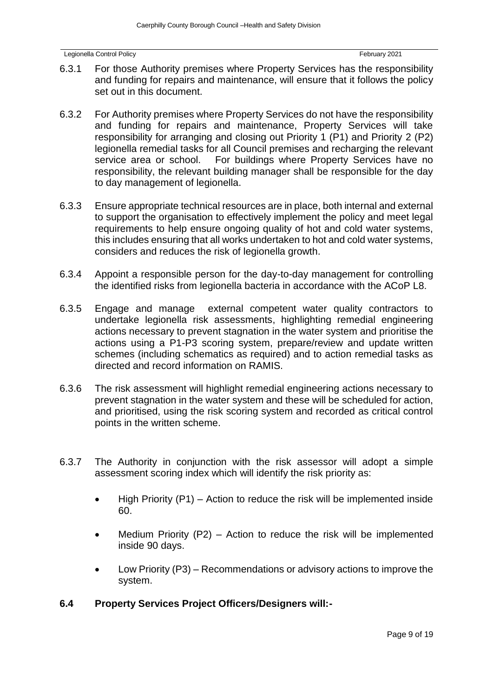$\ddot{\phantom{0}}$ 

- 6.3.1 For those Authority premises where Property Services has the responsibility and funding for repairs and maintenance, will ensure that it follows the policy set out in this document.
- 6.3.2 For Authority premises where Property Services do not have the responsibility and funding for repairs and maintenance, Property Services will take responsibility for arranging and closing out Priority 1 (P1) and Priority 2 (P2) legionella remedial tasks for all Council premises and recharging the relevant service area or school. For buildings where Property Services have no responsibility, the relevant building manager shall be responsible for the day to day management of legionella.
- 6.3.3 Ensure appropriate technical resources are in place, both internal and external to support the organisation to effectively implement the policy and meet legal requirements to help ensure ongoing quality of hot and cold water systems, this includes ensuring that all works undertaken to hot and cold water systems, considers and reduces the risk of legionella growth.
- 6.3.4 Appoint a responsible person for the day-to-day management for controlling the identified risks from legionella bacteria in accordance with the ACoP L8.
- 6.3.5 Engage and manage external competent water quality contractors to undertake legionella risk assessments, highlighting remedial engineering actions necessary to prevent stagnation in the water system and prioritise the actions using a P1-P3 scoring system, prepare/review and update written schemes (including schematics as required) and to action remedial tasks as directed and record information on RAMIS.
- 6.3.6 The risk assessment will highlight remedial engineering actions necessary to prevent stagnation in the water system and these will be scheduled for action, and prioritised, using the risk scoring system and recorded as critical control points in the written scheme.
- 6.3.7 The Authority in conjunction with the risk assessor will adopt a simple assessment scoring index which will identify the risk priority as:
	- High Priority (P1) Action to reduce the risk will be implemented inside 60.
	- Medium Priority (P2) Action to reduce the risk will be implemented inside 90 days.
	- Low Priority (P3) Recommendations or advisory actions to improve the system.
- **6.4 Property Services Project Officers/Designers will:-**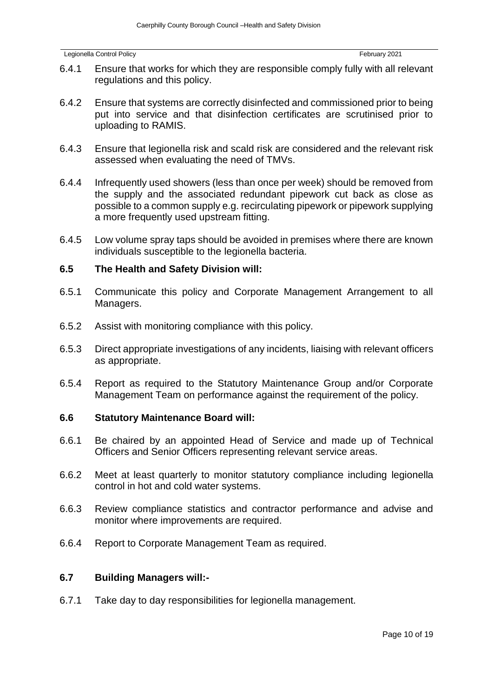$\ddot{\phantom{0}}$ 

- 6.4.1 Ensure that works for which they are responsible comply fully with all relevant regulations and this policy.
- 6.4.2 Ensure that systems are correctly disinfected and commissioned prior to being put into service and that disinfection certificates are scrutinised prior to uploading to RAMIS.
- 6.4.3 Ensure that legionella risk and scald risk are considered and the relevant risk assessed when evaluating the need of TMVs.
- 6.4.4 Infrequently used showers (less than once per week) should be removed from the supply and the associated redundant pipework cut back as close as possible to a common supply e.g. recirculating pipework or pipework supplying a more frequently used upstream fitting.
- 6.4.5 Low volume spray taps should be avoided in premises where there are known individuals susceptible to the legionella bacteria.

## **6.5 The Health and Safety Division will:**

- 6.5.1 Communicate this policy and Corporate Management Arrangement to all Managers.
- 6.5.2 Assist with monitoring compliance with this policy.
- 6.5.3 Direct appropriate investigations of any incidents, liaising with relevant officers as appropriate.
- 6.5.4 Report as required to the Statutory Maintenance Group and/or Corporate Management Team on performance against the requirement of the policy.

## **6.6 Statutory Maintenance Board will:**

- 6.6.1 Be chaired by an appointed Head of Service and made up of Technical Officers and Senior Officers representing relevant service areas.
- 6.6.2 Meet at least quarterly to monitor statutory compliance including legionella control in hot and cold water systems.
- 6.6.3 Review compliance statistics and contractor performance and advise and monitor where improvements are required.
- 6.6.4 Report to Corporate Management Team as required.

### **6.7 Building Managers will:-**

6.7.1 Take day to day responsibilities for legionella management.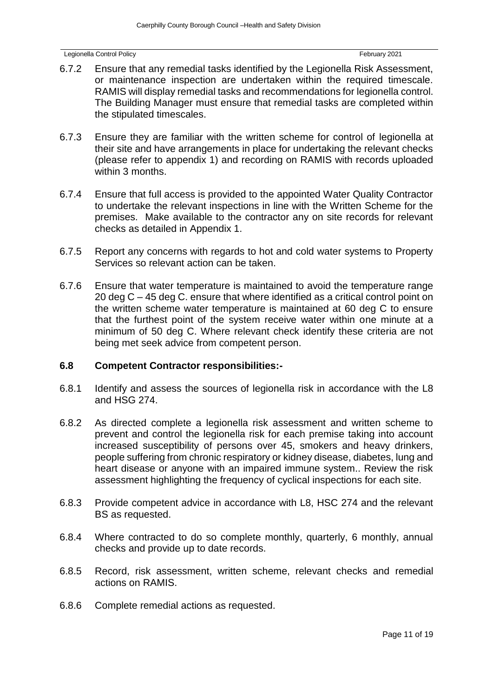$\ddot{\phantom{0}}$ 

- 6.7.2 Ensure that any remedial tasks identified by the Legionella Risk Assessment, or maintenance inspection are undertaken within the required timescale. RAMIS will display remedial tasks and recommendations for legionella control. The Building Manager must ensure that remedial tasks are completed within the stipulated timescales.
- 6.7.3 Ensure they are familiar with the written scheme for control of legionella at their site and have arrangements in place for undertaking the relevant checks (please refer to appendix 1) and recording on RAMIS with records uploaded within 3 months.
- 6.7.4 Ensure that full access is provided to the appointed Water Quality Contractor to undertake the relevant inspections in line with the Written Scheme for the premises. Make available to the contractor any on site records for relevant checks as detailed in Appendix 1.
- 6.7.5 Report any concerns with regards to hot and cold water systems to Property Services so relevant action can be taken.
- 6.7.6 Ensure that water temperature is maintained to avoid the temperature range 20 deg C – 45 deg C. ensure that where identified as a critical control point on the written scheme water temperature is maintained at 60 deg C to ensure that the furthest point of the system receive water within one minute at a minimum of 50 deg C. Where relevant check identify these criteria are not being met seek advice from competent person.

## **6.8 Competent Contractor responsibilities:-**

- 6.8.1 Identify and assess the sources of legionella risk in accordance with the L8 and HSG 274.
- 6.8.2 As directed complete a legionella risk assessment and written scheme to prevent and control the legionella risk for each premise taking into account increased susceptibility of persons over 45, smokers and heavy drinkers, people suffering from chronic respiratory or kidney disease, diabetes, lung and heart disease or anyone with an impaired immune system.. Review the risk assessment highlighting the frequency of cyclical inspections for each site.
- 6.8.3 Provide competent advice in accordance with L8, HSC 274 and the relevant BS as requested.
- 6.8.4 Where contracted to do so complete monthly, quarterly, 6 monthly, annual checks and provide up to date records.
- 6.8.5 Record, risk assessment, written scheme, relevant checks and remedial actions on RAMIS.
- 6.8.6 Complete remedial actions as requested.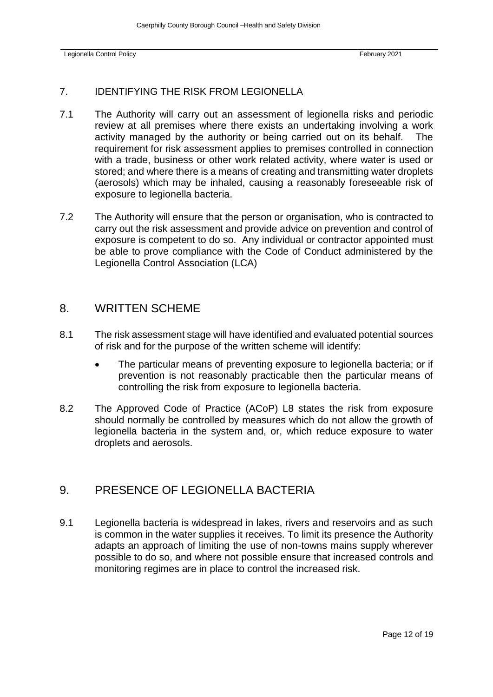$\ddot{\phantom{0}}$ 

## <span id="page-11-0"></span>7. IDENTIFYING THE RISK FROM LEGIONELLA

- 7.1 The Authority will carry out an assessment of legionella risks and periodic review at all premises where there exists an undertaking involving a work activity managed by the authority or being carried out on its behalf. The requirement for risk assessment applies to premises controlled in connection with a trade, business or other work related activity, where water is used or stored; and where there is a means of creating and transmitting water droplets (aerosols) which may be inhaled, causing a reasonably foreseeable risk of exposure to legionella bacteria.
- 7.2 The Authority will ensure that the person or organisation, who is contracted to carry out the risk assessment and provide advice on prevention and control of exposure is competent to do so. Any individual or contractor appointed must be able to prove compliance with the Code of Conduct administered by the Legionella Control Association (LCA)

## <span id="page-11-1"></span>8. WRITTEN SCHEME

- 8.1 The risk assessment stage will have identified and evaluated potential sources of risk and for the purpose of the written scheme will identify:
	- The particular means of preventing exposure to legionella bacteria; or if prevention is not reasonably practicable then the particular means of controlling the risk from exposure to legionella bacteria.
- 8.2 The Approved Code of Practice (ACoP) L8 states the risk from exposure should normally be controlled by measures which do not allow the growth of legionella bacteria in the system and, or, which reduce exposure to water droplets and aerosols.

## <span id="page-11-2"></span>9. PRESENCE OF LEGIONELLA BACTERIA

9.1 Legionella bacteria is widespread in lakes, rivers and reservoirs and as such is common in the water supplies it receives. To limit its presence the Authority adapts an approach of limiting the use of non-towns mains supply wherever possible to do so, and where not possible ensure that increased controls and monitoring regimes are in place to control the increased risk.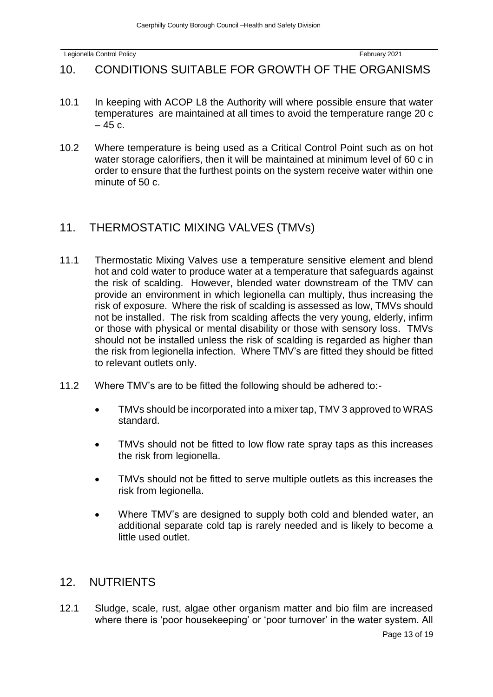$\ddot{\phantom{0}}$ 

## <span id="page-12-0"></span>10. CONDITIONS SUITABLE FOR GROWTH OF THE ORGANISMS

- 10.1 In keeping with ACOP L8 the Authority will where possible ensure that water temperatures are maintained at all times to avoid the temperature range 20 c  $-45 c.$
- 10.2 Where temperature is being used as a Critical Control Point such as on hot water storage calorifiers, then it will be maintained at minimum level of 60 c in order to ensure that the furthest points on the system receive water within one minute of 50 c.

## <span id="page-12-1"></span>11. THERMOSTATIC MIXING VALVES (TMVs)

- 11.1 Thermostatic Mixing Valves use a temperature sensitive element and blend hot and cold water to produce water at a temperature that safeguards against the risk of scalding. However, blended water downstream of the TMV can provide an environment in which legionella can multiply, thus increasing the risk of exposure. Where the risk of scalding is assessed as low, TMVs should not be installed. The risk from scalding affects the very young, elderly, infirm or those with physical or mental disability or those with sensory loss. TMVs should not be installed unless the risk of scalding is regarded as higher than the risk from legionella infection. Where TMV's are fitted they should be fitted to relevant outlets only.
- 11.2 Where TMV's are to be fitted the following should be adhered to:-
	- TMVs should be incorporated into a mixer tap, TMV 3 approved to WRAS standard.
	- TMVs should not be fitted to low flow rate spray taps as this increases the risk from legionella.
	- TMVs should not be fitted to serve multiple outlets as this increases the risk from legionella.
	- Where TMV's are designed to supply both cold and blended water, an additional separate cold tap is rarely needed and is likely to become a little used outlet.

## <span id="page-12-2"></span>12. NUTRIENTS

12.1 Sludge, scale, rust, algae other organism matter and bio film are increased where there is 'poor housekeeping' or 'poor turnover' in the water system. All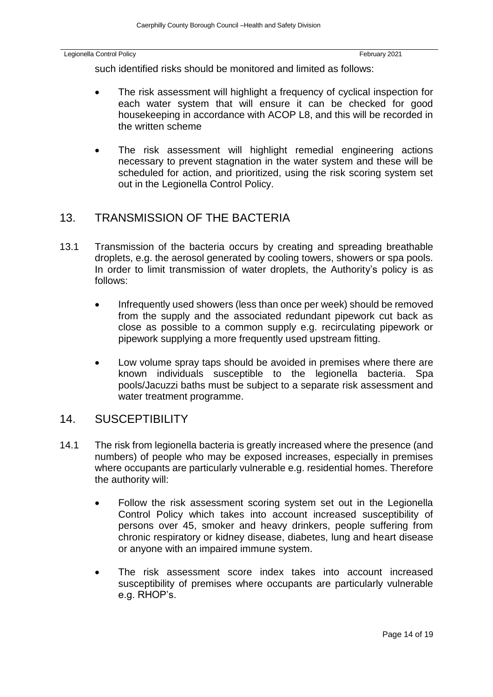$\ddot{\phantom{0}}$ 

such identified risks should be monitored and limited as follows:

- The risk assessment will highlight a frequency of cyclical inspection for each water system that will ensure it can be checked for good housekeeping in accordance with ACOP L8, and this will be recorded in the written scheme
- The risk assessment will highlight remedial engineering actions necessary to prevent stagnation in the water system and these will be scheduled for action, and prioritized, using the risk scoring system set out in the Legionella Control Policy.

## <span id="page-13-0"></span>13. TRANSMISSION OF THE BACTERIA

- 13.1 Transmission of the bacteria occurs by creating and spreading breathable droplets, e.g. the aerosol generated by cooling towers, showers or spa pools. In order to limit transmission of water droplets, the Authority's policy is as follows:
	- Infrequently used showers (less than once per week) should be removed from the supply and the associated redundant pipework cut back as close as possible to a common supply e.g. recirculating pipework or pipework supplying a more frequently used upstream fitting.
	- Low volume spray taps should be avoided in premises where there are known individuals susceptible to the legionella bacteria. Spa pools/Jacuzzi baths must be subject to a separate risk assessment and water treatment programme.

## <span id="page-13-1"></span>14. SUSCEPTIBILITY

- 14.1 The risk from legionella bacteria is greatly increased where the presence (and numbers) of people who may be exposed increases, especially in premises where occupants are particularly vulnerable e.g. residential homes. Therefore the authority will:
	- Follow the risk assessment scoring system set out in the Legionella Control Policy which takes into account increased susceptibility of persons over 45, smoker and heavy drinkers, people suffering from chronic respiratory or kidney disease, diabetes, lung and heart disease or anyone with an impaired immune system.
	- The risk assessment score index takes into account increased susceptibility of premises where occupants are particularly vulnerable e.g. RHOP's.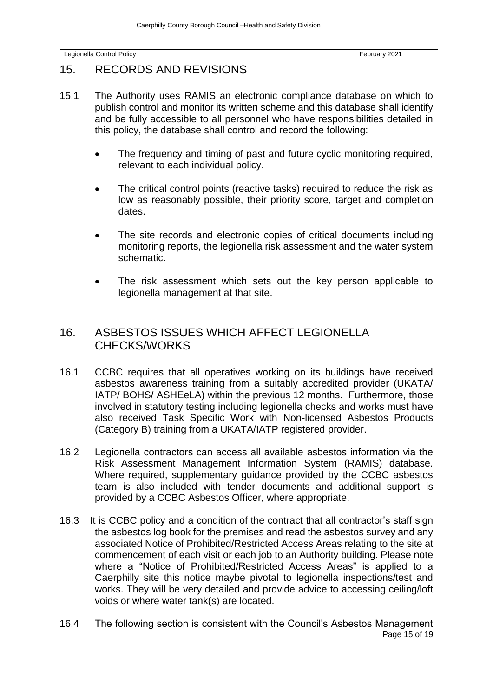$\ddot{\phantom{0}}$ 

## <span id="page-14-0"></span>15. RECORDS AND REVISIONS

- 15.1 The Authority uses RAMIS an electronic compliance database on which to publish control and monitor its written scheme and this database shall identify and be fully accessible to all personnel who have responsibilities detailed in this policy, the database shall control and record the following:
	- The frequency and timing of past and future cyclic monitoring required, relevant to each individual policy.
	- The critical control points (reactive tasks) required to reduce the risk as low as reasonably possible, their priority score, target and completion dates.
	- The site records and electronic copies of critical documents including monitoring reports, the legionella risk assessment and the water system schematic.
	- The risk assessment which sets out the key person applicable to legionella management at that site.

## <span id="page-14-1"></span>16. ASBESTOS ISSUES WHICH AFFECT LEGIONELLA CHECKS/WORKS

- 16.1 CCBC requires that all operatives working on its buildings have received asbestos awareness training from a suitably accredited provider (UKATA/ IATP/ BOHS/ ASHEeLA) within the previous 12 months. Furthermore, those involved in statutory testing including legionella checks and works must have also received Task Specific Work with Non-licensed Asbestos Products (Category B) training from a UKATA/IATP registered provider.
- 16.2 Legionella contractors can access all available asbestos information via the Risk Assessment Management Information System (RAMIS) database. Where required, supplementary guidance provided by the CCBC asbestos team is also included with tender documents and additional support is provided by a CCBC Asbestos Officer, where appropriate.
- 16.3 It is CCBC policy and a condition of the contract that all contractor's staff sign the asbestos log book for the premises and read the asbestos survey and any associated Notice of Prohibited/Restricted Access Areas relating to the site at commencement of each visit or each job to an Authority building. Please note where a "Notice of Prohibited/Restricted Access Areas" is applied to a Caerphilly site this notice maybe pivotal to legionella inspections/test and works. They will be very detailed and provide advice to accessing ceiling/loft voids or where water tank(s) are located.
- Page 15 of 19 16.4 The following section is consistent with the Council's Asbestos Management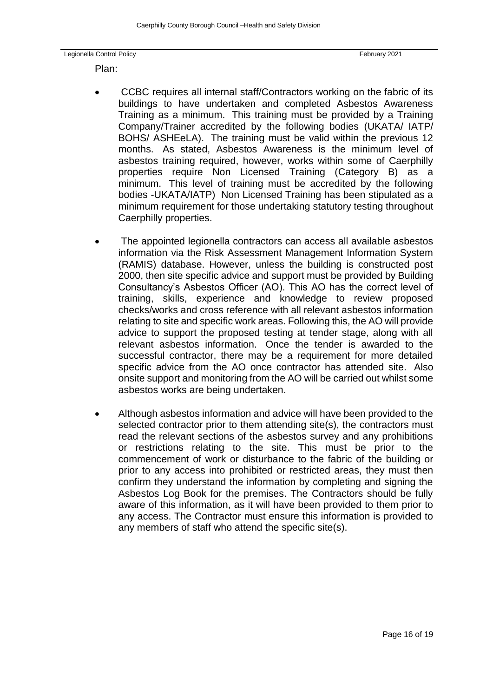$\ddot{\phantom{0}}$ 

- Plan:
- CCBC requires all internal staff/Contractors working on the fabric of its buildings to have undertaken and completed Asbestos Awareness Training as a minimum. This training must be provided by a Training Company/Trainer accredited by the following bodies (UKATA/ IATP/ BOHS/ ASHEeLA). The training must be valid within the previous 12 months. As stated, Asbestos Awareness is the minimum level of asbestos training required, however, works within some of Caerphilly properties require Non Licensed Training (Category B) as a minimum. This level of training must be accredited by the following bodies -UKATA/IATP) Non Licensed Training has been stipulated as a minimum requirement for those undertaking statutory testing throughout Caerphilly properties.
- The appointed legionella contractors can access all available asbestos information via the Risk Assessment Management Information System (RAMIS) database. However, unless the building is constructed post 2000, then site specific advice and support must be provided by Building Consultancy's Asbestos Officer (AO). This AO has the correct level of training, skills, experience and knowledge to review proposed checks/works and cross reference with all relevant asbestos information relating to site and specific work areas. Following this, the AO will provide advice to support the proposed testing at tender stage, along with all relevant asbestos information. Once the tender is awarded to the successful contractor, there may be a requirement for more detailed specific advice from the AO once contractor has attended site. Also onsite support and monitoring from the AO will be carried out whilst some asbestos works are being undertaken.
- Although asbestos information and advice will have been provided to the selected contractor prior to them attending site(s), the contractors must read the relevant sections of the asbestos survey and any prohibitions or restrictions relating to the site. This must be prior to the commencement of work or disturbance to the fabric of the building or prior to any access into prohibited or restricted areas, they must then confirm they understand the information by completing and signing the Asbestos Log Book for the premises. The Contractors should be fully aware of this information, as it will have been provided to them prior to any access. The Contractor must ensure this information is provided to any members of staff who attend the specific site(s).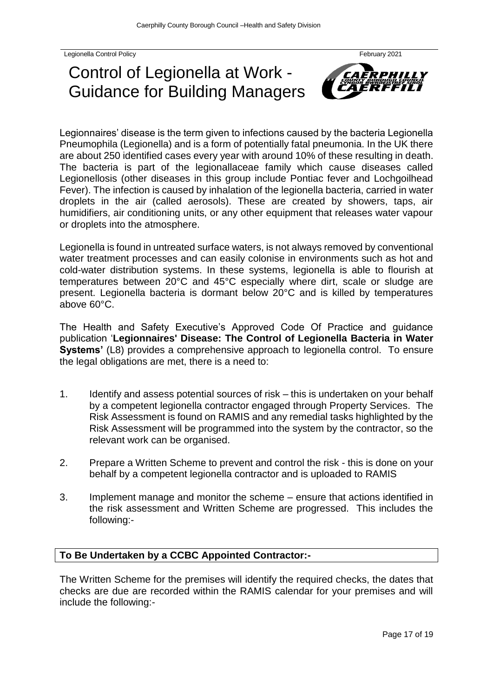## <span id="page-16-0"></span>Control of Legionella at Work - Guidance for Building Managers



 $\ddot{\phantom{0}}$ 

Legionnaires' disease is the term given to infections caused by the bacteria Legionella Pneumophila (Legionella) and is a form of potentially fatal pneumonia. In the UK there are about 250 identified cases every year with around 10% of these resulting in death. The bacteria is part of the legionallaceae family which cause diseases called Legionellosis (other diseases in this group include Pontiac fever and Lochgoilhead Fever). The infection is caused by inhalation of the legionella bacteria, carried in water droplets in the air (called aerosols). These are created by showers, taps, air humidifiers, air conditioning units, or any other equipment that releases water vapour or droplets into the atmosphere.

Legionella is found in untreated surface waters, is not always removed by conventional water treatment processes and can easily colonise in environments such as hot and cold-water distribution systems. In these systems, legionella is able to flourish at temperatures between 20°C and 45°C especially where dirt, scale or sludge are present. Legionella bacteria is dormant below 20°C and is killed by temperatures above 60°C.

The Health and Safety Executive's Approved Code Of Practice and guidance publication '**Legionnaires' Disease: The Control of Legionella Bacteria in Water Systems'** (L8) provides a comprehensive approach to legionella control. To ensure the legal obligations are met, there is a need to:

- 1. Identify and assess potential sources of risk this is undertaken on your behalf by a competent legionella contractor engaged through Property Services. The Risk Assessment is found on RAMIS and any remedial tasks highlighted by the Risk Assessment will be programmed into the system by the contractor, so the relevant work can be organised.
- 2. Prepare a Written Scheme to prevent and control the risk this is done on your behalf by a competent legionella contractor and is uploaded to RAMIS
- 3. Implement manage and monitor the scheme ensure that actions identified in the risk assessment and Written Scheme are progressed. This includes the following:-

## **To Be Undertaken by a CCBC Appointed Contractor:-**

The Written Scheme for the premises will identify the required checks, the dates that checks are due are recorded within the RAMIS calendar for your premises and will include the following:-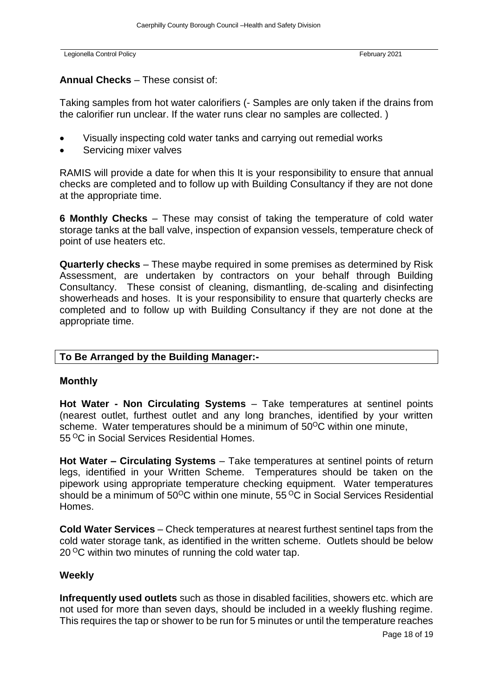$\ddot{\phantom{0}}$ 

## **Annual Checks** – These consist of:

Taking samples from hot water calorifiers (- Samples are only taken if the drains from the calorifier run unclear. If the water runs clear no samples are collected. )

- Visually inspecting cold water tanks and carrying out remedial works
- Servicing mixer valves

RAMIS will provide a date for when this It is your responsibility to ensure that annual checks are completed and to follow up with Building Consultancy if they are not done at the appropriate time.

**6 Monthly Checks** – These may consist of taking the temperature of cold water storage tanks at the ball valve, inspection of expansion vessels, temperature check of point of use heaters etc.

**Quarterly checks** – These maybe required in some premises as determined by Risk Assessment, are undertaken by contractors on your behalf through Building Consultancy. These consist of cleaning, dismantling, de-scaling and disinfecting showerheads and hoses. It is your responsibility to ensure that quarterly checks are completed and to follow up with Building Consultancy if they are not done at the appropriate time.

## **To Be Arranged by the Building Manager:-**

### **Monthly**

**Hot Water - Non Circulating Systems** – Take temperatures at sentinel points (nearest outlet, furthest outlet and any long branches, identified by your written scheme. Water temperatures should be a minimum of  $50^{\circ}$ C within one minute, 55 <sup>O</sup>C in Social Services Residential Homes.

**Hot Water – Circulating Systems** – Take temperatures at sentinel points of return legs, identified in your Written Scheme. Temperatures should be taken on the pipework using appropriate temperature checking equipment. Water temperatures should be a minimum of  $50^{\circ}$ C within one minute,  $55^{\circ}$ C in Social Services Residential Homes.

**Cold Water Services** – Check temperatures at nearest furthest sentinel taps from the cold water storage tank, as identified in the written scheme. Outlets should be below 20  $\mathrm{^{\circ}C}$  within two minutes of running the cold water tap.

### **Weekly**

**Infrequently used outlets** such as those in disabled facilities, showers etc. which are not used for more than seven days, should be included in a weekly flushing regime. This requires the tap or shower to be run for 5 minutes or until the temperature reaches